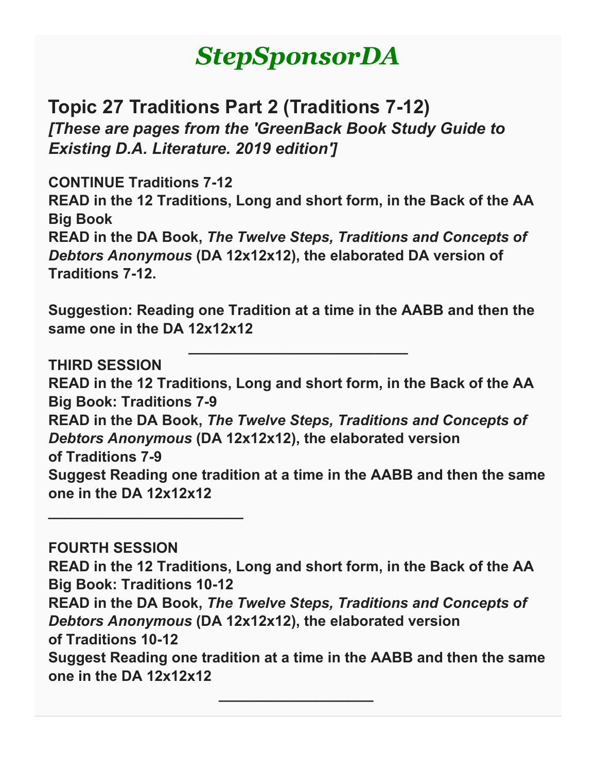# *StepSponsorDA*

**Topic 27 Traditions Part 2 (Traditions 7-12)** *[These are pages from the 'GreenBack Book Study Guide to Existing D.A. Literature. 2019 edition']*

**CONTINUE Traditions 7-12 READ in the 12 Traditions, Long and short form, in the Back of the AA Big Book READ in the DA Book,** *The Twelve Steps, Traditions and Concepts of Debtors Anonymous* **(DA 12x12x12), the elaborated DA version of Traditions 7-12.**

**Suggestion: Reading one Tradition at a time in the AABB and then the same one in the DA 12x12x12**

**\_\_\_\_\_\_\_\_\_\_\_\_\_\_\_\_\_\_\_\_\_\_\_\_\_\_\_**

**THIRD SESSION READ in the 12 Traditions, Long and short form, in the Back of the AA Big Book: Traditions 7-9 READ in the DA Book,** *The Twelve Steps, Traditions and Concepts of Debtors Anonymous* **(DA 12x12x12), the elaborated version of Traditions 7-9 Suggest Reading one tradition at a time in the AABB and then the same one in the DA 12x12x12**

**\_\_\_\_\_\_\_\_\_\_\_\_\_\_\_\_\_\_\_\_\_\_\_\_**

**FOURTH SESSION READ in the 12 Traditions, Long and short form, in the Back of the AA Big Book: Traditions 10-12 READ in the DA Book,** *The Twelve Steps, Traditions and Concepts of Debtors Anonymous* **(DA 12x12x12), the elaborated version of Traditions 10-12 Suggest Reading one tradition at a time in the AABB and then the same one in the DA 12x12x12**

**\_\_\_\_\_\_\_\_\_\_\_\_\_\_\_\_\_\_\_**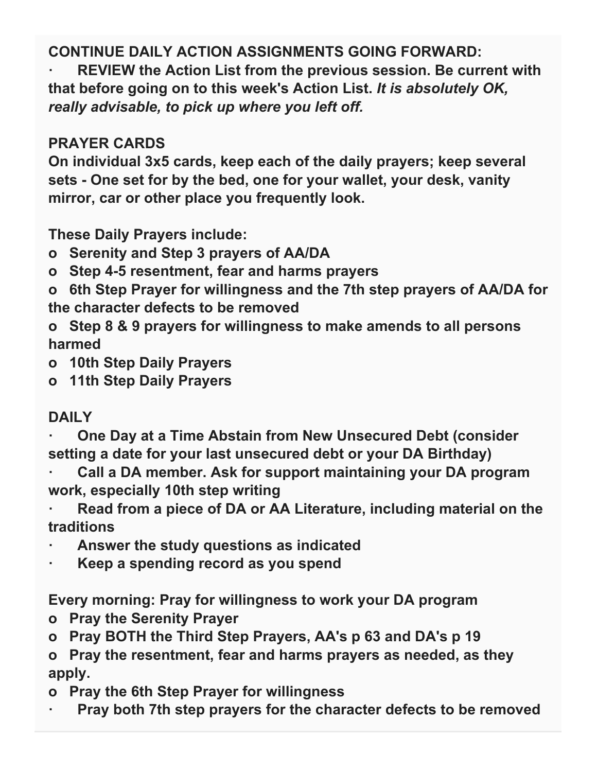## **CONTINUE DAILY ACTION ASSIGNMENTS GOING FORWARD:**

**· REVIEW the Action List from the previous session. Be current with that before going on to this week's Action List.** *It is absolutely OK, really advisable, to pick up where you left off.*

## **PRAYER CARDS**

**On individual 3x5 cards, keep each of the daily prayers; keep several sets - One set for by the bed, one for your wallet, your desk, vanity mirror, car or other place you frequently look.**

**These Daily Prayers include:**

- **o Serenity and Step 3 prayers of AA/DA**
- **o Step 4-5 resentment, fear and harms prayers**
- **o 6th Step Prayer for willingness and the 7th step prayers of AA/DA for the character defects to be removed**
- **o Step 8 & 9 prayers for willingness to make amends to all persons harmed**
- **o 10th Step Daily Prayers**
- **o 11th Step Daily Prayers**

## **DAILY**

- **· One Day at a Time Abstain from New Unsecured Debt (consider setting a date for your last unsecured debt or your DA Birthday)**
- **· Call a DA member. Ask for support maintaining your DA program work, especially 10th step writing**
- **· Read from a piece of DA or AA Literature, including material on the traditions**
- **· Answer the study questions as indicated**
- **· Keep a spending record as you spend**

**Every morning: Pray for willingness to work your DA program**

- **o Pray the Serenity Prayer**
- **o Pray BOTH the Third Step Prayers, AA's p 63 and DA's p 19**

**o Pray the resentment, fear and harms prayers as needed, as they apply.**

- **o Pray the 6th Step Prayer for willingness**
- **· Pray both 7th step prayers for the character defects to be removed**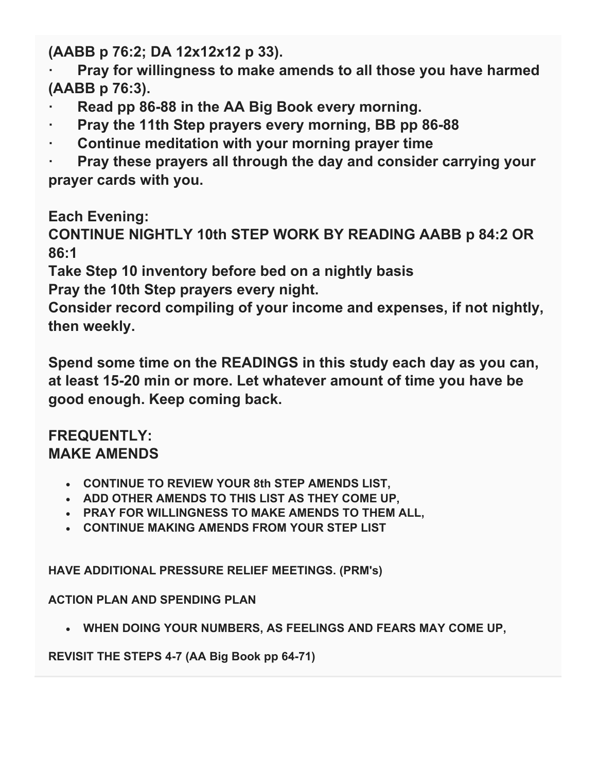**(AABB p 76:2; DA 12x12x12 p 33).**

**· Pray for willingness to make amends to all those you have harmed (AABB p 76:3).** 

- **· Read pp 86-88 in the AA Big Book every morning.**
- **· Pray the 11th Step prayers every morning, BB pp 86-88**
- **· Continue meditation with your morning prayer time**

**· Pray these prayers all through the day and consider carrying your prayer cards with you.**

**Each Evening:**

**CONTINUE NIGHTLY 10th STEP WORK BY READING AABB p 84:2 OR 86:1**

**Take Step 10 inventory before bed on a nightly basis Pray the 10th Step prayers every night.**

**Consider record compiling of your income and expenses, if not nightly, then weekly.**

**Spend some time on the READINGS in this study each day as you can, at least 15-20 min or more. Let whatever amount of time you have be good enough. Keep coming back.**

#### **FREQUENTLY: MAKE AMENDS**

- **CONTINUE TO REVIEW YOUR 8th STEP AMENDS LIST,**
- **ADD OTHER AMENDS TO THIS LIST AS THEY COME UP,**
- **PRAY FOR WILLINGNESS TO MAKE AMENDS TO THEM ALL,**
- **CONTINUE MAKING AMENDS FROM YOUR STEP LIST**

**HAVE ADDITIONAL PRESSURE RELIEF MEETINGS. (PRM's)**

**ACTION PLAN AND SPENDING PLAN**

• **WHEN DOING YOUR NUMBERS, AS FEELINGS AND FEARS MAY COME UP,**

**REVISIT THE STEPS 4-7 (AA Big Book pp 64-71)**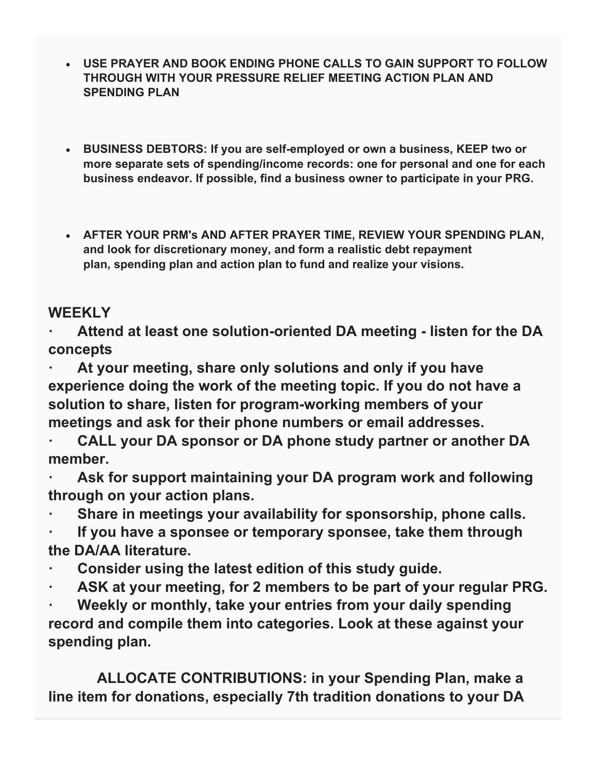- **USE PRAYER AND BOOK ENDING PHONE CALLS TO GAIN SUPPORT TO FOLLOW THROUGH WITH YOUR PRESSURE RELIEF MEETING ACTION PLAN AND SPENDING PLAN**
- **BUSINESS DEBTORS: If you are self-employed or own a business, KEEP two or more separate sets of spending/income records: one for personal and one for each business endeavor. If possible, find a business owner to participate in your PRG.**
- **AFTER YOUR PRM's AND AFTER PRAYER TIME, REVIEW YOUR SPENDING PLAN, and look for discretionary money, and form a realistic debt repayment plan, spending plan and action plan to fund and realize your visions.**

### **WEEKLY**

**· Attend at least one solution-oriented DA meeting - listen for the DA concepts**

**· At your meeting, share only solutions and only if you have experience doing the work of the meeting topic. If you do not have a solution to share, listen for program-working members of your meetings and ask for their phone numbers or email addresses.**

**· CALL your DA sponsor or DA phone study partner or another DA member.**

**· Ask for support maintaining your DA program work and following through on your action plans.**

**· Share in meetings your availability for sponsorship, phone calls.**

**· If you have a sponsee or temporary sponsee, take them through the DA/AA literature.** 

- **· Consider using the latest edition of this study guide.**
- **· ASK at your meeting, for 2 members to be part of your regular PRG.**

**· Weekly or monthly, take your entries from your daily spending record and compile them into categories. Look at these against your spending plan.**

 **ALLOCATE CONTRIBUTIONS: in your Spending Plan, make a line item for donations, especially 7th tradition donations to your DA**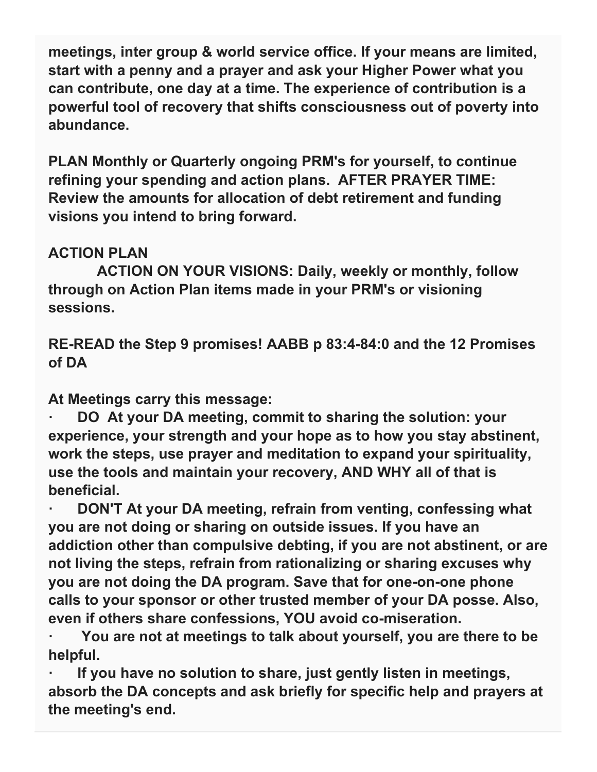**meetings, inter group & world service office. If your means are limited, start with a penny and a prayer and ask your Higher Power what you can contribute, one day at a time. The experience of contribution is a powerful tool of recovery that shifts consciousness out of poverty into abundance.**

**PLAN Monthly or Quarterly ongoing PRM's for yourself, to continue refining your spending and action plans. AFTER PRAYER TIME: Review the amounts for allocation of debt retirement and funding visions you intend to bring forward.**

## **ACTION PLAN**

 **ACTION ON YOUR VISIONS: Daily, weekly or monthly, follow through on Action Plan items made in your PRM's or visioning sessions.**

**RE-READ the Step 9 promises! AABB p 83:4-84:0 and the 12 Promises of DA**

**At Meetings carry this message:**

**· DO At your DA meeting, commit to sharing the solution: your experience, your strength and your hope as to how you stay abstinent, work the steps, use prayer and meditation to expand your spirituality, use the tools and maintain your recovery, AND WHY all of that is beneficial.**

**· DON'T At your DA meeting, refrain from venting, confessing what you are not doing or sharing on outside issues. If you have an addiction other than compulsive debting, if you are not abstinent, or are not living the steps, refrain from rationalizing or sharing excuses why you are not doing the DA program. Save that for one-on-one phone calls to your sponsor or other trusted member of your DA posse. Also, even if others share confessions, YOU avoid co-miseration.**

**· You are not at meetings to talk about yourself, you are there to be helpful.**

**· If you have no solution to share, just gently listen in meetings, absorb the DA concepts and ask briefly for specific help and prayers at the meeting's end.**